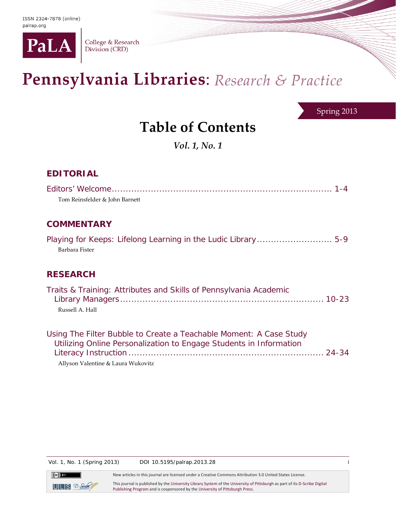

College & Research Division (CRD)

## Pennsylvania Libraries: Research & Practice

Spring 2013

## **Table of Contents**

*Vol. 1, No. 1*

## **EDITORIAL**

| Tom Reinsfelder & John Barnett                                                                                                           |
|------------------------------------------------------------------------------------------------------------------------------------------|
| <b>COMMENTARY</b>                                                                                                                        |
| Barbara Fister                                                                                                                           |
| <b>RESEARCH</b>                                                                                                                          |
| Traits & Training: Attributes and Skills of Pennsylvania Academic<br>Russell A. Hall                                                     |
| Using The Filter Bubble to Create a Teachable Moment: A Case Study<br>Utilizing Online Personalization to Engage Students in Information |

Allyson Valentine & Laura Wukovitz

Vol. 1, No. 1 (Spring 2013) DOI 10.5195/palrap.2013.28 i

 $\left(\mathrm{cc}\right)$  by  $ULS$   $D-Sch$ 

New articles in this journal are licensed under a Creative Commons Attribution 3.0 United States License.

This journal is published by th[e University Library System](http://www.library.pitt.edu/) of th[e University of Pittsburgh](http://www.pitt.edu/) as part of it[s D-Scribe Digital](http://www.library.pitt.edu/articles/digpubtype/index.html)  [Publishing Program](http://www.library.pitt.edu/articles/digpubtype/index.html) and is cosponsored by th[e University of Pittsburgh Press.](http://upress.pitt.edu/)